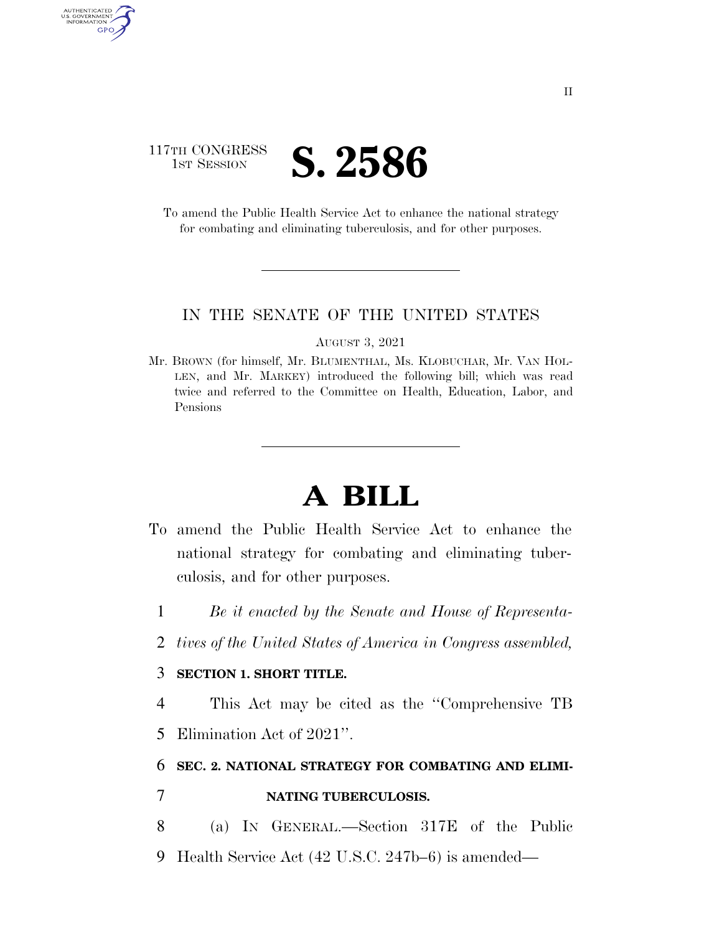## 117TH CONGRESS **IST SESSION S. 2586**

AUTHENTICATED<br>U.S. GOVERNMENT<br>INFORMATION GPO

> To amend the Public Health Service Act to enhance the national strategy for combating and eliminating tuberculosis, and for other purposes.

### IN THE SENATE OF THE UNITED STATES

#### AUGUST 3, 2021

Mr. BROWN (for himself, Mr. BLUMENTHAL, Ms. KLOBUCHAR, Mr. VAN HOL-LEN, and Mr. MARKEY) introduced the following bill; which was read twice and referred to the Committee on Health, Education, Labor, and Pensions

# **A BILL**

- To amend the Public Health Service Act to enhance the national strategy for combating and eliminating tuberculosis, and for other purposes.
	- 1 *Be it enacted by the Senate and House of Representa-*
	- 2 *tives of the United States of America in Congress assembled,*

### 3 **SECTION 1. SHORT TITLE.**

4 This Act may be cited as the ''Comprehensive TB 5 Elimination Act of 2021''.

### 6 **SEC. 2. NATIONAL STRATEGY FOR COMBATING AND ELIMI-**

- 7 **NATING TUBERCULOSIS.**
- 8 (a) IN GENERAL.—Section 317E of the Public 9 Health Service Act (42 U.S.C. 247b–6) is amended—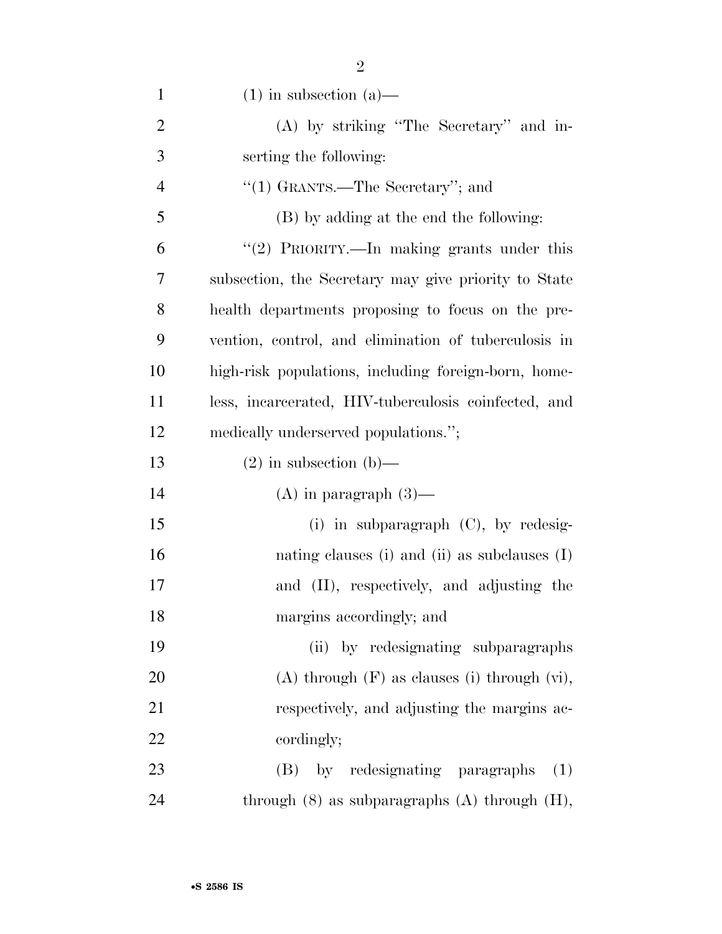| $\mathbf{1}$   | $(1)$ in subsection $(a)$ —                          |
|----------------|------------------------------------------------------|
| $\overline{2}$ | (A) by striking "The Secretary" and in-              |
| 3              | serting the following:                               |
| $\overline{4}$ | "(1) GRANTS.—The Secretary"; and                     |
| 5              | (B) by adding at the end the following:              |
| 6              | "(2) PRIORITY.—In making grants under this           |
| 7              | subsection, the Secretary may give priority to State |
| 8              | health departments proposing to focus on the pre-    |
| 9              | vention, control, and elimination of tuberculosis in |
| 10             | high-risk populations, including foreign-born, home- |
| 11             | less, incarcerated, HIV-tuberculosis coinfected, and |
| 12             | medically underserved populations.";                 |
| 13             | $(2)$ in subsection $(b)$ —                          |
| 14             | $(A)$ in paragraph $(3)$ —                           |
| 15             | (i) in subparagraph $(C)$ , by redesig-              |
| 16             | nating clauses (i) and (ii) as subclauses $(I)$      |
| 17             | and (II), respectively, and adjusting the            |
| 18             | margins accordingly; and                             |
| 19             | (ii) by redesignating subparagraphs                  |
| 20             | $(A)$ through $(F)$ as clauses (i) through $(vi)$ ,  |
| 21             | respectively, and adjusting the margins ac-          |
| 22             | cordingly;                                           |
| 23             | (B) by redesignating paragraphs<br>(1)               |
| 24             | through $(8)$ as subparagraphs $(A)$ through $(H)$ , |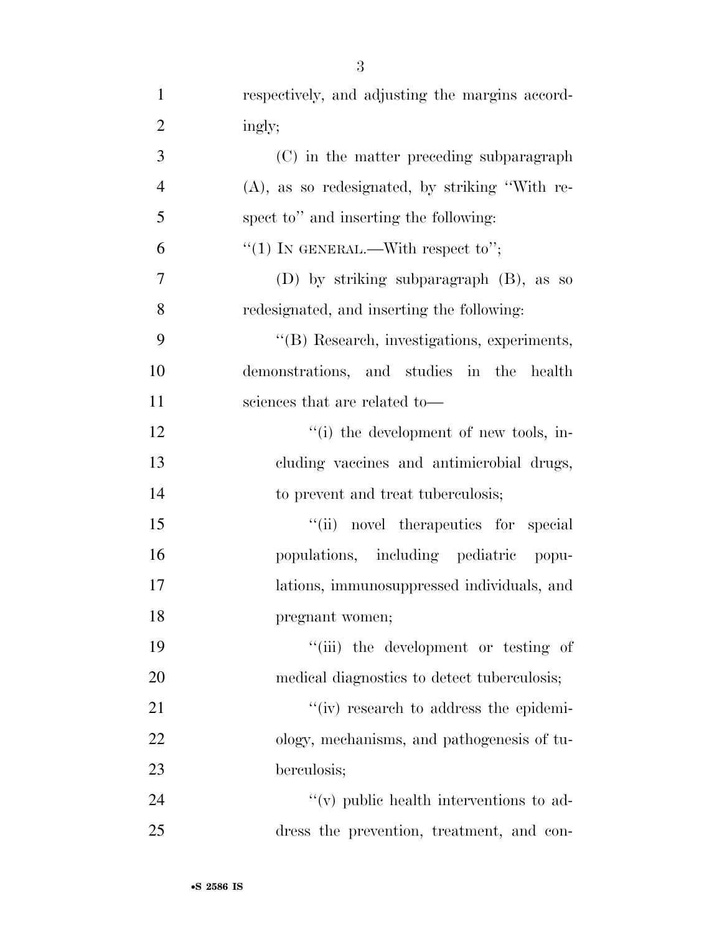ingly;

|                | $\sim$ ) in the matter preceding subparagraph     |
|----------------|---------------------------------------------------|
| $\overline{4}$ | $(A)$ , as so redesignated, by striking "With re- |
| 5              | spect to" and inserting the following:            |
| 6              | "(1) IN GENERAL.—With respect to";                |
| $\overline{7}$ | (D) by striking subparagraph $(B)$ , as so        |
| 8              | redesignated, and inserting the following:        |
| 9              | "(B) Research, investigations, experiments,       |
| 10             | demonstrations, and studies in the health         |
| 11             | sciences that are related to-                     |
| 12             | "(i) the development of new tools, in-            |
| 13             | cluding vaccines and antimicrobial drugs,         |
| 14             | to prevent and treat tuberculosis;                |
| 15             | "(ii) novel therapeutics for special              |
| 16             | populations, including pediatric popu-            |
|                |                                                   |

- lations, immunosuppressed individuals, and pregnant women;
- 19  $\frac{1}{2}$  the development or testing of medical diagnostics to detect tuberculosis;

21 ''(iv) research to address the epidemi- ology, mechanisms, and pathogenesis of tu-berculosis;

24  $''(v)$  public health interventions to ad-dress the prevention, treatment, and con-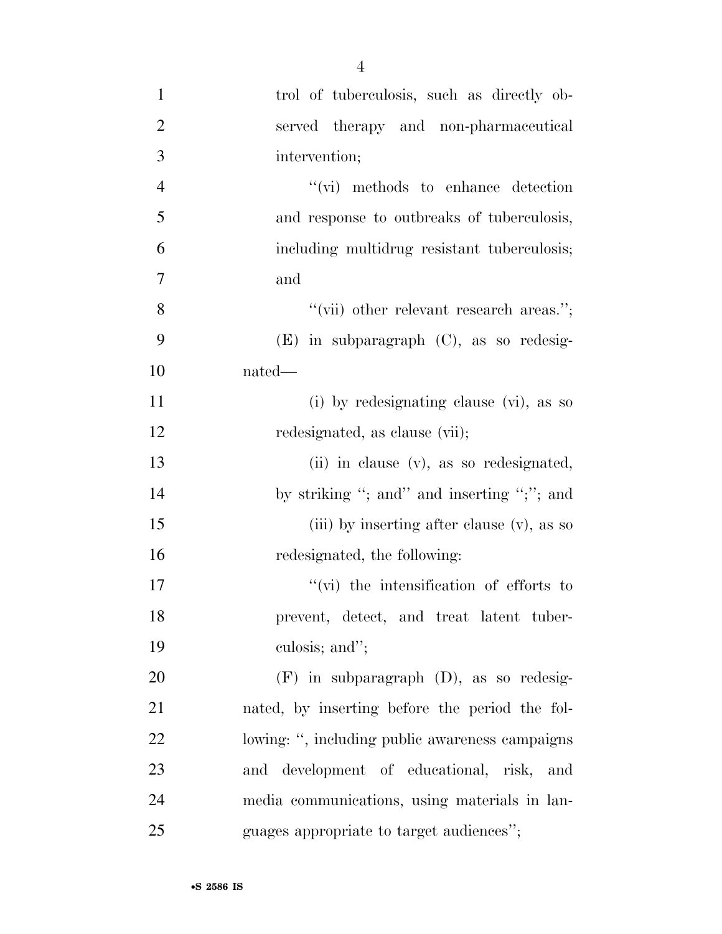| $\mathbf{1}$   | trol of tuberculosis, such as directly ob-      |
|----------------|-------------------------------------------------|
| $\overline{2}$ | served therapy and non-pharmaceutical           |
| 3              | intervention;                                   |
| $\overline{4}$ | "(vi) methods to enhance detection              |
| 5              | and response to outbreaks of tuberculosis,      |
| 6              | including multidrug resistant tuberculosis;     |
| $\overline{7}$ | and                                             |
| 8              | "(vii) other relevant research areas.";         |
| 9              | $(E)$ in subparagraph $(C)$ , as so redesig-    |
| 10             | nated—                                          |
| 11             | (i) by redesignating clause (vi), as so         |
| 12             | redesignated, as clause (vii);                  |
| 13             | (ii) in clause (v), as so redesignated,         |
| 14             | by striking "; and" and inserting ";"; and      |
| 15             | (iii) by inserting after clause (v), as so      |
| 16             | redesignated, the following:                    |
| 17             | $\lq\lq$ (vi) the intensification of efforts to |
| 18             | prevent, detect, and treat latent tuber-        |
| 19             | culosis; and";                                  |
| 20             | $(F)$ in subparagraph $(D)$ , as so redesig-    |
| 21             | nated, by inserting before the period the fol-  |
| 22             | lowing: ", including public awareness campaigns |
| 23             | and development of educational, risk, and       |
| 24             | media communications, using materials in lan-   |
| 25             | guages appropriate to target audiences";        |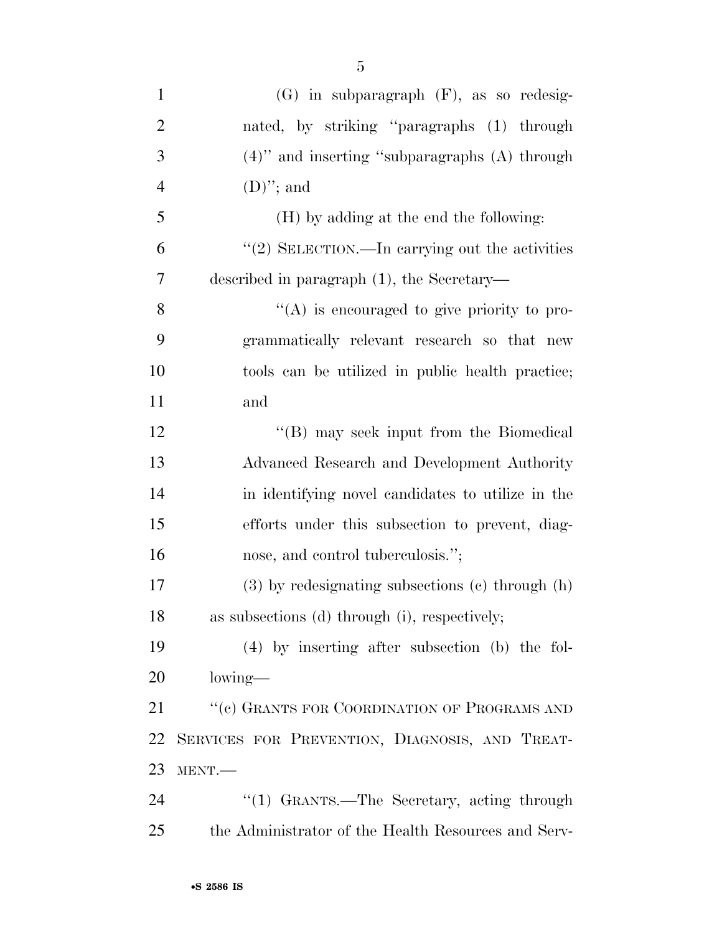| $\mathbf{1}$   | $(G)$ in subparagraph $(F)$ , as so redesig-           |
|----------------|--------------------------------------------------------|
| $\overline{2}$ | nated, by striking "paragraphs (1) through             |
| 3              | $(4)$ " and inserting "subparagraphs $(A)$ through     |
| $\overline{4}$ | $(D)$ "; and                                           |
| 5              | (H) by adding at the end the following:                |
| 6              | $\lq(2)$ SELECTION.—In carrying out the activities     |
| 7              | described in paragraph $(1)$ , the Secretary—          |
| 8              | $\lq\lq$ is encouraged to give priority to pro-        |
| 9              | grammatically relevant research so that new            |
| 10             | tools can be utilized in public health practice;       |
| 11             | and                                                    |
| 12             | $\lq\lq (B)$ may seek input from the Biomedical        |
| 13             | Advanced Research and Development Authority            |
| 14             | in identifying novel candidates to utilize in the      |
| 15             | efforts under this subsection to prevent, diag-        |
| 16             | nose, and control tuberculosis.";                      |
| 17             | $(3)$ by redesignating subsections $(e)$ through $(h)$ |
| 18             | as subsections (d) through (i), respectively;          |
| 19             | (4) by inserting after subsection (b) the fol-         |
| 20             | $lowing$ —                                             |
| 21             | "(c) GRANTS FOR COORDINATION OF PROGRAMS AND           |
| 22             | SERVICES FOR PREVENTION, DIAGNOSIS, AND TREAT-         |
| 23             | MENT.                                                  |
| 24             | "(1) GRANTS.—The Secretary, acting through             |
| 25             | the Administrator of the Health Resources and Serv-    |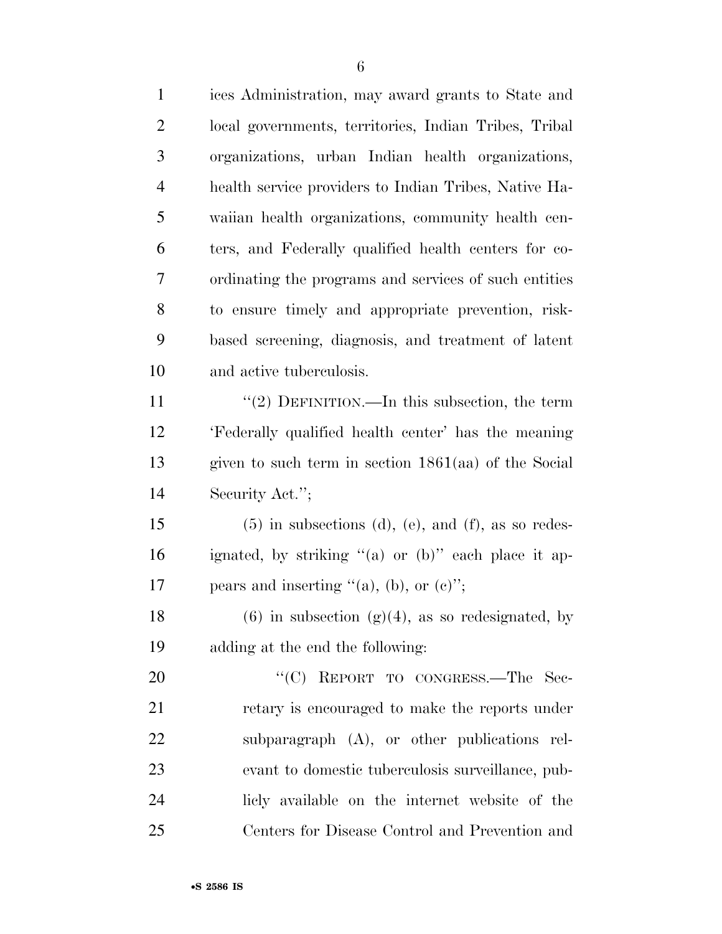| $\mathbf{1}$   | ices Administration, may award grants to State and     |
|----------------|--------------------------------------------------------|
| $\overline{2}$ | local governments, territories, Indian Tribes, Tribal  |
| 3              | organizations, urban Indian health organizations,      |
| $\overline{4}$ | health service providers to Indian Tribes, Native Ha-  |
| 5              | waiian health organizations, community health cen-     |
| 6              | ters, and Federally qualified health centers for co-   |
| 7              | ordinating the programs and services of such entities  |
| 8              | to ensure timely and appropriate prevention, risk-     |
| 9              | based screening, diagnosis, and treatment of latent    |
| 10             | and active tuberculosis.                               |
| 11             | "(2) DEFINITION.—In this subsection, the term          |
| 12             | 'Federally qualified health center' has the meaning    |
| 13             | given to such term in section $1861(aa)$ of the Social |
| 14             | Security Act.";                                        |
| 15             | $(5)$ in subsections (d), (e), and (f), as so redes-   |
| 16             | ignated, by striking "(a) or (b)" each place it ap-    |
| 17             | pears and inserting " $(a)$ , (b), or $(c)$ ";         |
| 18             | $(6)$ in subsection $(g)(4)$ , as so redesignated, by  |
| 19             | adding at the end the following:                       |
| 20             | "(C) REPORT TO CONGRESS.—The Sec-                      |
| 21             | retary is encouraged to make the reports under         |
| 22             | subparagraph $(A)$ , or other publications rel-        |
| 23             | evant to domestic tuberculosis surveillance, pub-      |
| 24             | licly available on the internet website of the         |
| 25             | Centers for Disease Control and Prevention and         |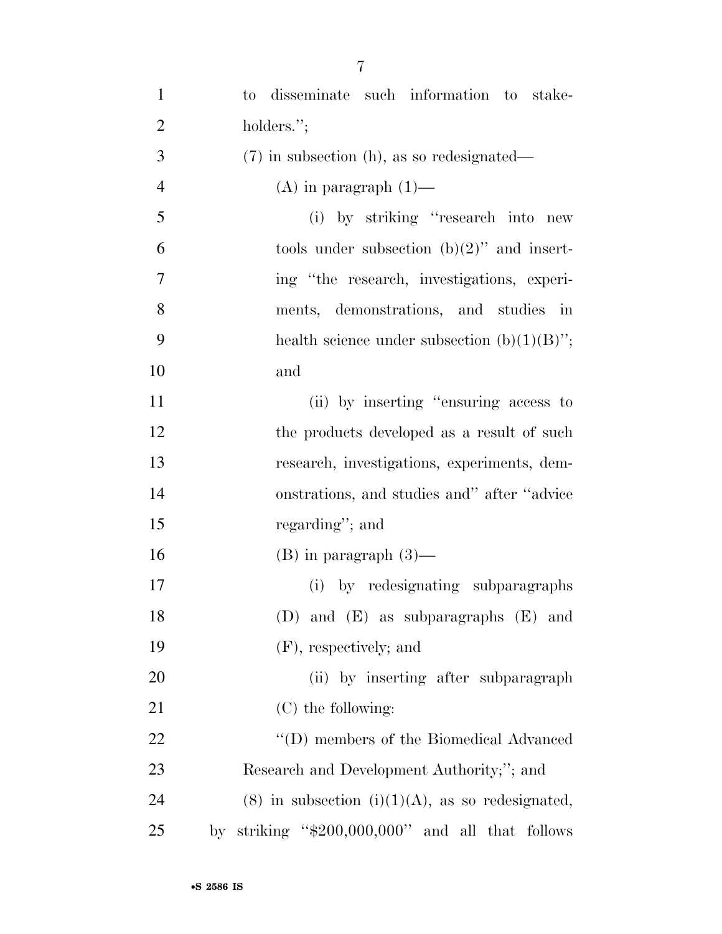| $\mathbf{1}$   | to disseminate such information to stake-             |
|----------------|-------------------------------------------------------|
| $\overline{2}$ | holders.";                                            |
| 3              | $(7)$ in subsection (h), as so redesignated—          |
| $\overline{4}$ | $(A)$ in paragraph $(1)$ —                            |
| 5              | (i) by striking "research into new                    |
| 6              | tools under subsection $(b)(2)$ " and insert-         |
| 7              | ing "the research, investigations, experi-            |
| 8              | ments, demonstrations, and studies<br>$\cdot$ in      |
| 9              | health science under subsection $(b)(1)(B)$ ";        |
| 10             | and                                                   |
| 11             | (ii) by inserting "ensuring access to                 |
| 12             | the products developed as a result of such            |
| 13             | research, investigations, experiments, dem-           |
| 14             | onstrations, and studies and" after "advice           |
| 15             | regarding"; and                                       |
| 16             | $(B)$ in paragraph $(3)$ —                            |
| 17             | (i) by redesignating subparagraphs                    |
| 18             | (D) and $(E)$ as subparagraphs $(E)$ and              |
| 19             | (F), respectively; and                                |
| 20             | (ii) by inserting after subparagraph                  |
| 21             | $(C)$ the following:                                  |
| 22             | "(D) members of the Biomedical Advanced               |
| 23             | Research and Development Authority;"; and             |
| 24             | $(8)$ in subsection $(i)(1)(A)$ , as so redesignated, |
| 25             | by striking " $$200,000,000$ " and all that follows   |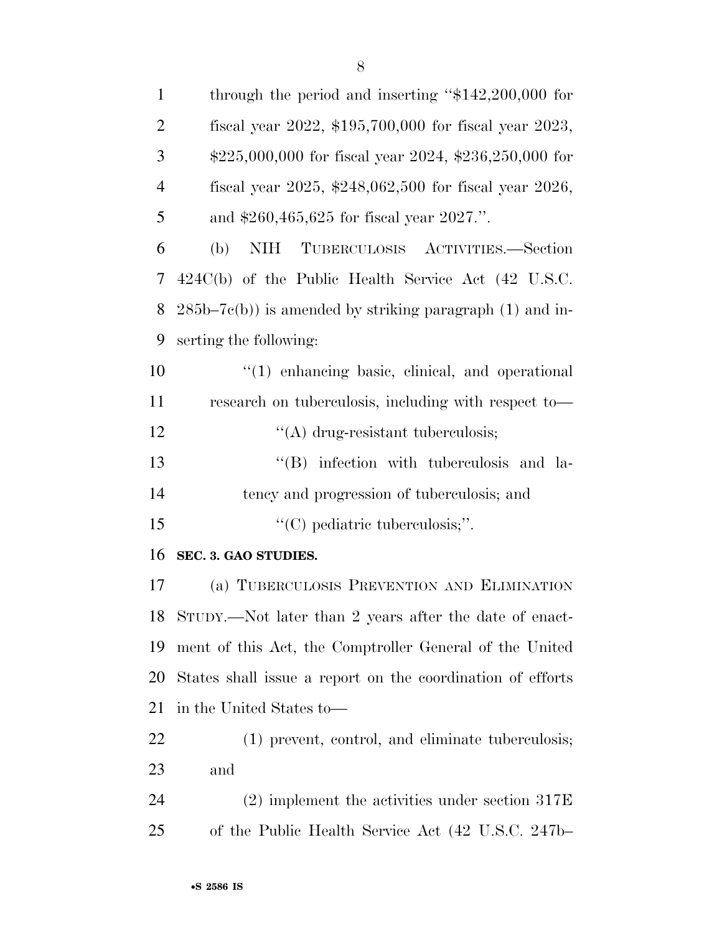| $\mathbf{1}$   | through the period and inserting " $$142,200,000$ for            |
|----------------|------------------------------------------------------------------|
| $\overline{2}$ | fiscal year 2022, \$195,700,000 for fiscal year 2023,            |
| 3              | $$225,000,000$ for fiscal year $2024$ , $$236,250,000$ for       |
| $\overline{4}$ | fiscal year 2025, $$248,062,500$ for fiscal year 2026,           |
| 5              | and $$260,465,625$ for fiscal year $2027$ .".                    |
| 6              | <b>NIH</b><br>TUBERCULOSIS ACTIVITIES.—Section<br>(b)            |
| 7              | $424C(b)$ of the Public Health Service Act $(42 \text{ U.S.C.})$ |
| 8              | $285b-7c(b)$ ) is amended by striking paragraph (1) and in-      |
| 9              | serting the following:                                           |
| 10             | $\lq(1)$ enhancing basic, clinical, and operational              |
| 11             | research on tuberculosis, including with respect to-             |
| 12             | $\lq\lq$ drug-resistant tuberculosis;                            |
| 13             | "(B) infection with tuberculosis and la-                         |
| 14             | tency and progression of tuberculosis; and                       |
| 15             | $\lq\lq$ (C) pediatric tuberculosis;".                           |
| 16             | SEC. 3. GAO STUDIES.                                             |
| 17             | (a) TUBERCULOSIS PREVENTION AND ELIMINATION                      |
| 18             | STUDY.—Not later than 2 years after the date of enact-           |
| 19             | ment of this Act, the Comptroller General of the United          |
| 20             | States shall issue a report on the coordination of efforts       |
| 21             | in the United States to-                                         |
| 22             | (1) prevent, control, and eliminate tuberculosis;                |
| 23             | and                                                              |
| 24             | $(2)$ implement the activities under section 317E                |
| 25             | of the Public Health Service Act (42 U.S.C. 247b–                |